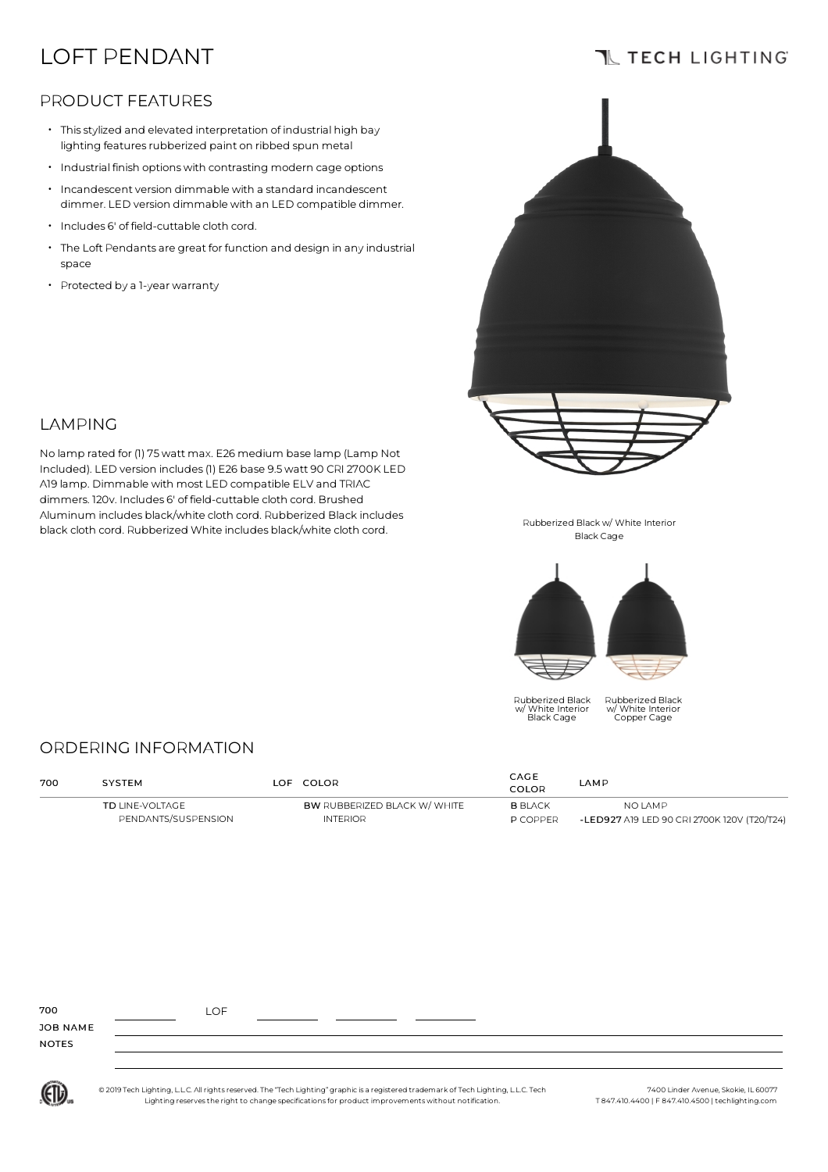# LOFT PENDANT

## **TL TECH LIGHTING**

#### PRODUCT FEATURES

- Thisstylized and elevated interpretation of industrial high bay lighting features rubberized paint on ribbed spun metal
- Industrial finish optionswith contrasting modern cage options
- $\cdot$  Incandescent version dimmable with a standard incandescent dimmer. LED version dimmable with an LED compatible dimmer.
- Includes 6' of field-cuttable cloth cord.
- $\,\cdot\,$  The Loft Pendants are great for function and design in any industrial space

No lamp rated for (1) 75watt max. E26 medium base lamp (Lamp Not Included). LED version includes(1) E26 base 9.5watt 90 CRI 2700K LED A19 lamp. Dimmable with most LED compatible ELV and TRIAC dimmers. 120v. Includes 6' of field-cuttable cloth cord. Brushed Aluminum includes black/white cloth cord. Rubberized Black includes black cloth cord. Rubberized White includes black/white cloth cord.

• Protected by <sup>a</sup> 1-year warranty

LAMPING



Rubberized Black w/ White Interior Black Cage



Rubberized Black w/ White Interior Black Cage

Rubberized Black w/ White Interior Copper Cage

### ORDERING INFORMATION

| 700 | <b>SYSTEM</b>                          |  | LOF COLOR                                              | CAGE<br>COLOR                     | LAMP                                                          |  |
|-----|----------------------------------------|--|--------------------------------------------------------|-----------------------------------|---------------------------------------------------------------|--|
|     | TD LINE-VOLTAGE<br>PENDANTS/SUSPENSION |  | <b>BW RUBBERIZED BLACK W/ WHITE</b><br><b>INTERIOR</b> | <b>B</b> BLACK<br><b>P COPPER</b> | <b>NO LAMP</b><br>-LED927 A19 LED 90 CRI 2700K 120V (T20/T24) |  |

| 700          | LOF |  |  |  |
|--------------|-----|--|--|--|
| JOB NAME     |     |  |  |  |
| <b>NOTES</b> |     |  |  |  |
|              |     |  |  |  |

(ETL)

© 2019 Tech Lighting, L.L.C. All rightsreserved. The "Tech Lighting" graphic is a registered trademark of Tech Lighting, L.L.C. Tech Lighting reservesthe right to change specificationsfor product improvementswithout notification.

7400 Linder Avenue, Skokie, IL 60077 T 847.410.4400 | F 847.410.4500 | techlighting.com